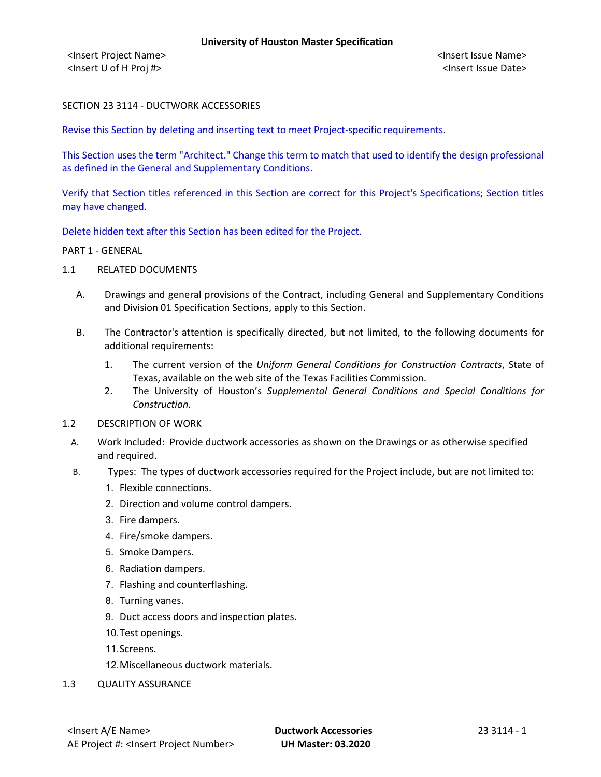<Insert Project Name> <Insert Issue Name> <Insert U of H Proj #> <Insert Issue Date>

## SECTION 23 3114 - DUCTWORK ACCESSORIES

Revise this Section by deleting and inserting text to meet Project-specific requirements.

This Section uses the term "Architect." Change this term to match that used to identify the design professional as defined in the General and Supplementary Conditions.

Verify that Section titles referenced in this Section are correct for this Project's Specifications; Section titles may have changed.

Delete hidden text after this Section has been edited for the Project.

### PART 1 - GENERAL

- 1.1 RELATED DOCUMENTS
	- A. Drawings and general provisions of the Contract, including General and Supplementary Conditions and Division 01 Specification Sections, apply to this Section.
	- B. The Contractor's attention is specifically directed, but not limited, to the following documents for additional requirements:
		- 1. The current version of the *Uniform General Conditions for Construction Contracts*, State of Texas, available on the web site of the Texas Facilities Commission.
		- 2. The University of Houston's *Supplemental General Conditions and Special Conditions for Construction.*
- 1.2 DESCRIPTION OF WORK
	- A. Work Included: Provide ductwork accessories as shown on the Drawings or as otherwise specified and required.
	- B. Types: The types of ductwork accessories required for the Project include, but are not limited to:
		- 1. Flexible connections.
		- 2. Direction and volume control dampers.
		- 3. Fire dampers.
		- 4. Fire/smoke dampers.
		- 5. Smoke Dampers.
		- 6. Radiation dampers.
		- 7. Flashing and counterflashing.
		- 8. Turning vanes.
		- 9. Duct access doors and inspection plates.
		- 10.Test openings.
		- 11.Screens.
		- 12.Miscellaneous ductwork materials.
- 1.3 QUALITY ASSURANCE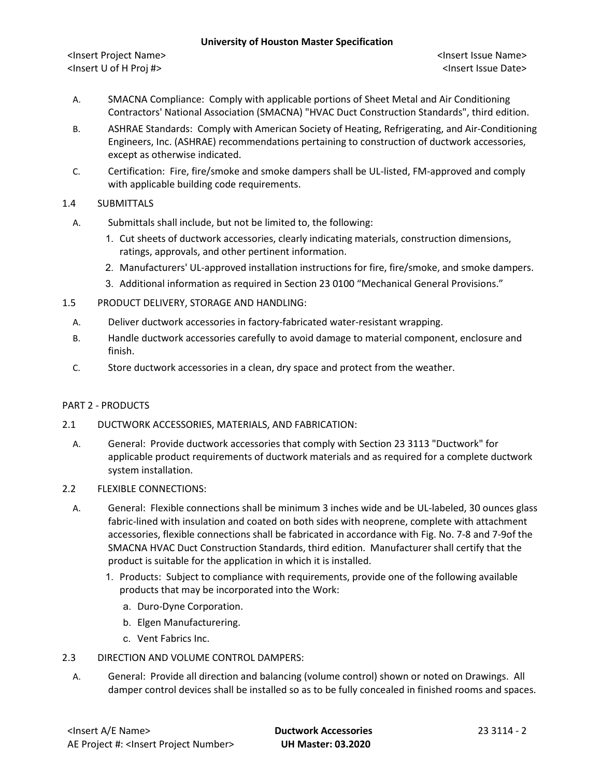<Insert Project Name> <Insert Issue Name> <Insert U of H Proj #> <Insert Issue Date>

- A. SMACNA Compliance: Comply with applicable portions of Sheet Metal and Air Conditioning Contractors' National Association (SMACNA) "HVAC Duct Construction Standards", third edition.
- B. ASHRAE Standards: Comply with American Society of Heating, Refrigerating, and Air-Conditioning Engineers, Inc. (ASHRAE) recommendations pertaining to construction of ductwork accessories, except as otherwise indicated.
- C. Certification: Fire, fire/smoke and smoke dampers shall be UL-listed, FM-approved and comply with applicable building code requirements.
- 1.4 SUBMITTALS
	- A. Submittals shall include, but not be limited to, the following:
		- 1. Cut sheets of ductwork accessories, clearly indicating materials, construction dimensions, ratings, approvals, and other pertinent information.
		- 2. Manufacturers' UL-approved installation instructions for fire, fire/smoke, and smoke dampers.
		- 3. Additional information as required in Section 23 0100 "Mechanical General Provisions."
- 1.5 PRODUCT DELIVERY, STORAGE AND HANDLING:
	- A. Deliver ductwork accessories in factory-fabricated water-resistant wrapping.
	- B. Handle ductwork accessories carefully to avoid damage to material component, enclosure and finish.
	- C. Store ductwork accessories in a clean, dry space and protect from the weather.

# PART 2 - PRODUCTS

- 2.1 DUCTWORK ACCESSORIES, MATERIALS, AND FABRICATION:
	- A. General: Provide ductwork accessories that comply with Section 23 3113 "Ductwork" for applicable product requirements of ductwork materials and as required for a complete ductwork system installation.
- 2.2 FLEXIBLE CONNECTIONS:
	- A. General: Flexible connections shall be minimum 3 inches wide and be UL-labeled, 30 ounces glass fabric-lined with insulation and coated on both sides with neoprene, complete with attachment accessories, flexible connections shall be fabricated in accordance with Fig. No. 7-8 and 7-9of the SMACNA HVAC Duct Construction Standards, third edition. Manufacturer shall certify that the product is suitable for the application in which it is installed.
		- 1. Products: Subject to compliance with requirements, provide one of the following available products that may be incorporated into the Work:
			- a. Duro-Dyne Corporation.
			- b. Elgen Manufacturering.
			- c. Vent Fabrics Inc.
- 2.3 DIRECTION AND VOLUME CONTROL DAMPERS:
	- A. General: Provide all direction and balancing (volume control) shown or noted on Drawings. All damper control devices shall be installed so as to be fully concealed in finished rooms and spaces.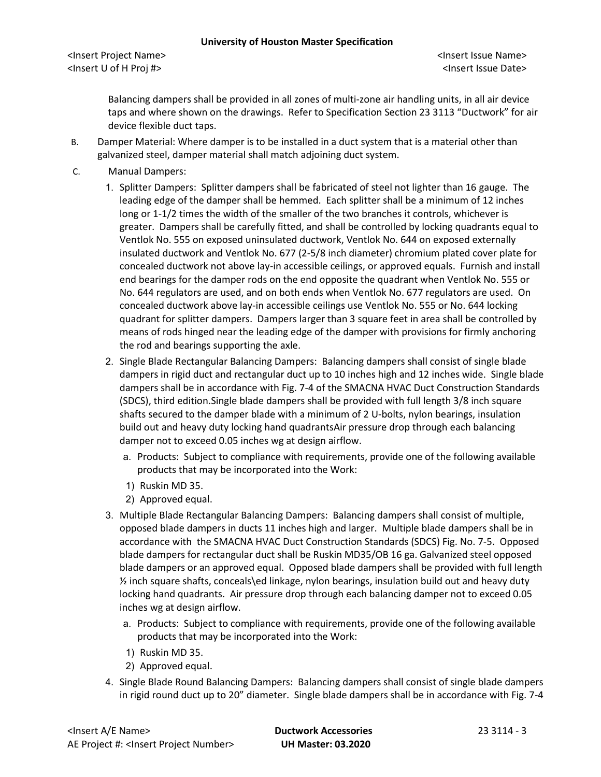<Insert Project Name> <Insert Issue Name> <Insert U of H Proj #> <Insert Issue Date>

Balancing dampers shall be provided in all zones of multi-zone air handling units, in all air device taps and where shown on the drawings. Refer to Specification Section 23 3113 "Ductwork" for air device flexible duct taps.

- B. Damper Material: Where damper is to be installed in a duct system that is a material other than galvanized steel, damper material shall match adjoining duct system.
- C. Manual Dampers:
	- 1. Splitter Dampers: Splitter dampers shall be fabricated of steel not lighter than 16 gauge. The leading edge of the damper shall be hemmed. Each splitter shall be a minimum of 12 inches long or 1-1/2 times the width of the smaller of the two branches it controls, whichever is greater. Dampers shall be carefully fitted, and shall be controlled by locking quadrants equal to Ventlok No. 555 on exposed uninsulated ductwork, Ventlok No. 644 on exposed externally insulated ductwork and Ventlok No. 677 (2-5/8 inch diameter) chromium plated cover plate for concealed ductwork not above lay-in accessible ceilings, or approved equals. Furnish and install end bearings for the damper rods on the end opposite the quadrant when Ventlok No. 555 or No. 644 regulators are used, and on both ends when Ventlok No. 677 regulators are used. On concealed ductwork above lay-in accessible ceilings use Ventlok No. 555 or No. 644 locking quadrant for splitter dampers. Dampers larger than 3 square feet in area shall be controlled by means of rods hinged near the leading edge of the damper with provisions for firmly anchoring the rod and bearings supporting the axle.
	- 2. Single Blade Rectangular Balancing Dampers: Balancing dampers shall consist of single blade dampers in rigid duct and rectangular duct up to 10 inches high and 12 inches wide. Single blade dampers shall be in accordance with Fig. 7-4 of the SMACNA HVAC Duct Construction Standards (SDCS), third edition.Single blade dampers shall be provided with full length 3/8 inch square shafts secured to the damper blade with a minimum of 2 U-bolts, nylon bearings, insulation build out and heavy duty locking hand quadrantsAir pressure drop through each balancing damper not to exceed 0.05 inches wg at design airflow.
		- a. Products: Subject to compliance with requirements, provide one of the following available products that may be incorporated into the Work:
		- 1) Ruskin MD 35.
		- 2) Approved equal.
	- 3. Multiple Blade Rectangular Balancing Dampers: Balancing dampers shall consist of multiple, opposed blade dampers in ducts 11 inches high and larger. Multiple blade dampers shall be in accordance with the SMACNA HVAC Duct Construction Standards (SDCS) Fig. No. 7-5. Opposed blade dampers for rectangular duct shall be Ruskin MD35/OB 16 ga. Galvanized steel opposed blade dampers or an approved equal. Opposed blade dampers shall be provided with full length  $\frac{1}{2}$  inch square shafts, conceals\ed linkage, nylon bearings, insulation build out and heavy duty locking hand quadrants. Air pressure drop through each balancing damper not to exceed 0.05 inches wg at design airflow.
		- a. Products: Subject to compliance with requirements, provide one of the following available products that may be incorporated into the Work:
		- 1) Ruskin MD 35.
		- 2) Approved equal.
	- 4. Single Blade Round Balancing Dampers: Balancing dampers shall consist of single blade dampers in rigid round duct up to 20" diameter. Single blade dampers shall be in accordance with Fig. 7-4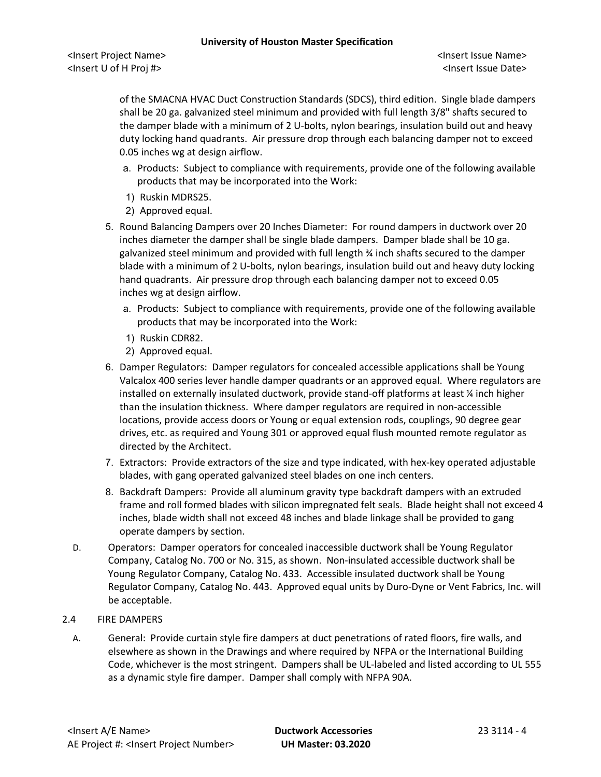of the SMACNA HVAC Duct Construction Standards (SDCS), third edition. Single blade dampers shall be 20 ga. galvanized steel minimum and provided with full length 3/8" shafts secured to the damper blade with a minimum of 2 U-bolts, nylon bearings, insulation build out and heavy duty locking hand quadrants. Air pressure drop through each balancing damper not to exceed 0.05 inches wg at design airflow.

- a. Products: Subject to compliance with requirements, provide one of the following available products that may be incorporated into the Work:
- 1) Ruskin MDRS25.
- 2) Approved equal.
- 5. Round Balancing Dampers over 20 Inches Diameter: For round dampers in ductwork over 20 inches diameter the damper shall be single blade dampers. Damper blade shall be 10 ga. galvanized steel minimum and provided with full length ¾ inch shafts secured to the damper blade with a minimum of 2 U-bolts, nylon bearings, insulation build out and heavy duty locking hand quadrants. Air pressure drop through each balancing damper not to exceed 0.05 inches wg at design airflow.
	- a. Products: Subject to compliance with requirements, provide one of the following available products that may be incorporated into the Work:
	- 1) Ruskin CDR82.
	- 2) Approved equal.
- 6. Damper Regulators: Damper regulators for concealed accessible applications shall be Young Valcalox 400 series lever handle damper quadrants or an approved equal. Where regulators are installed on externally insulated ductwork, provide stand-off platforms at least ¼ inch higher than the insulation thickness. Where damper regulators are required in non-accessible locations, provide access doors or Young or equal extension rods, couplings, 90 degree gear drives, etc. as required and Young 301 or approved equal flush mounted remote regulator as directed by the Architect.
- 7. Extractors: Provide extractors of the size and type indicated, with hex-key operated adjustable blades, with gang operated galvanized steel blades on one inch centers.
- 8. Backdraft Dampers: Provide all aluminum gravity type backdraft dampers with an extruded frame and roll formed blades with silicon impregnated felt seals. Blade height shall not exceed 4 inches, blade width shall not exceed 48 inches and blade linkage shall be provided to gang operate dampers by section.
- D. Operators: Damper operators for concealed inaccessible ductwork shall be Young Regulator Company, Catalog No. 700 or No. 315, as shown. Non-insulated accessible ductwork shall be Young Regulator Company, Catalog No. 433. Accessible insulated ductwork shall be Young Regulator Company, Catalog No. 443. Approved equal units by Duro-Dyne or Vent Fabrics, Inc. will be acceptable.
- 2.4 FIRE DAMPERS
	- A. General: Provide curtain style fire dampers at duct penetrations of rated floors, fire walls, and elsewhere as shown in the Drawings and where required by NFPA or the International Building Code, whichever is the most stringent. Dampers shall be UL-labeled and listed according to UL 555 as a dynamic style fire damper. Damper shall comply with NFPA 90A.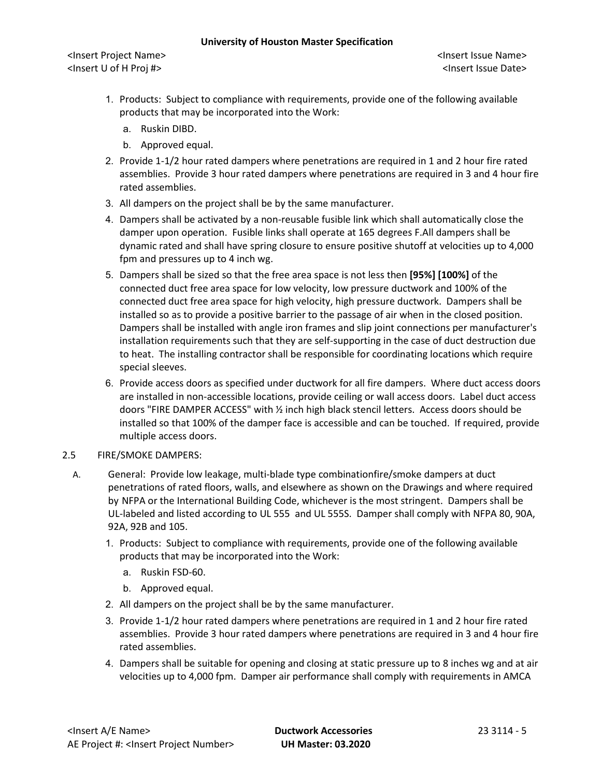<Insert Project Name> <Insert Issue Name> <Insert U of H Proj #> <Insert Issue Date>

- 1. Products: Subject to compliance with requirements, provide one of the following available products that may be incorporated into the Work:
	- a. Ruskin DIBD.
	- b. Approved equal.
- 2. Provide 1-1/2 hour rated dampers where penetrations are required in 1 and 2 hour fire rated assemblies. Provide 3 hour rated dampers where penetrations are required in 3 and 4 hour fire rated assemblies.
- 3. All dampers on the project shall be by the same manufacturer.
- 4. Dampers shall be activated by a non-reusable fusible link which shall automatically close the damper upon operation. Fusible links shall operate at 165 degrees F.All dampers shall be dynamic rated and shall have spring closure to ensure positive shutoff at velocities up to 4,000 fpm and pressures up to 4 inch wg.
- 5. Dampers shall be sized so that the free area space is not less then **[95%] [100%]** of the connected duct free area space for low velocity, low pressure ductwork and 100% of the connected duct free area space for high velocity, high pressure ductwork. Dampers shall be installed so as to provide a positive barrier to the passage of air when in the closed position. Dampers shall be installed with angle iron frames and slip joint connections per manufacturer's installation requirements such that they are self-supporting in the case of duct destruction due to heat. The installing contractor shall be responsible for coordinating locations which require special sleeves.
- 6. Provide access doors as specified under ductwork for all fire dampers. Where duct access doors are installed in non-accessible locations, provide ceiling or wall access doors. Label duct access doors "FIRE DAMPER ACCESS" with ½ inch high black stencil letters. Access doors should be installed so that 100% of the damper face is accessible and can be touched. If required, provide multiple access doors.

# 2.5 FIRE/SMOKE DAMPERS:

- A. General: Provide low leakage, multi-blade type combinationfire/smoke dampers at duct penetrations of rated floors, walls, and elsewhere as shown on the Drawings and where required by NFPA or the International Building Code, whichever is the most stringent. Dampers shall be UL-labeled and listed according to UL 555 and UL 555S. Damper shall comply with NFPA 80, 90A, 92A, 92B and 105.
	- 1. Products: Subject to compliance with requirements, provide one of the following available products that may be incorporated into the Work:
		- a. Ruskin FSD-60.
		- b. Approved equal.
	- 2. All dampers on the project shall be by the same manufacturer.
	- 3. Provide 1-1/2 hour rated dampers where penetrations are required in 1 and 2 hour fire rated assemblies. Provide 3 hour rated dampers where penetrations are required in 3 and 4 hour fire rated assemblies.
	- 4. Dampers shall be suitable for opening and closing at static pressure up to 8 inches wg and at air velocities up to 4,000 fpm. Damper air performance shall comply with requirements in AMCA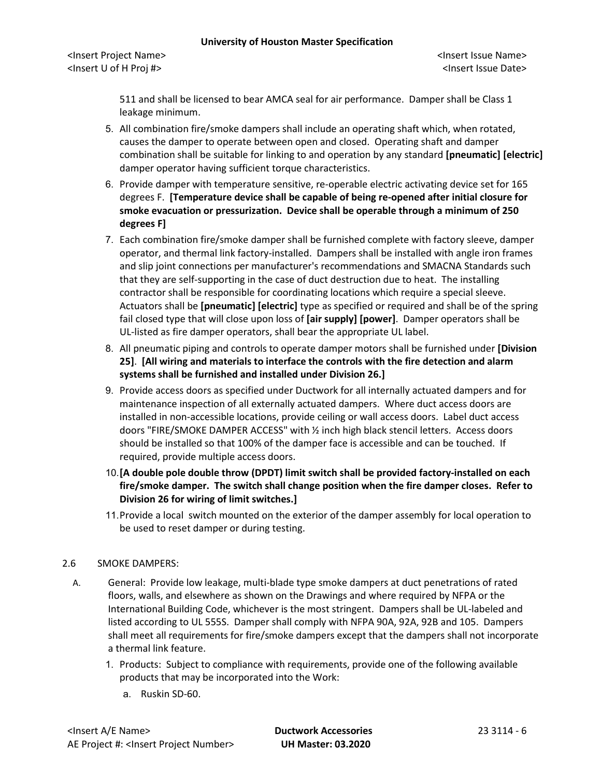<Insert Project Name> <Insert Issue Name> <Insert U of H Proj #> <Insert Issue Date>

511 and shall be licensed to bear AMCA seal for air performance. Damper shall be Class 1 leakage minimum.

- 5. All combination fire/smoke dampers shall include an operating shaft which, when rotated, causes the damper to operate between open and closed. Operating shaft and damper combination shall be suitable for linking to and operation by any standard **[pneumatic] [electric]** damper operator having sufficient torque characteristics.
- 6. Provide damper with temperature sensitive, re-operable electric activating device set for 165 degrees F. **[Temperature device shall be capable of being re-opened after initial closure for smoke evacuation or pressurization. Device shall be operable through a minimum of 250 degrees F]**
- 7. Each combination fire/smoke damper shall be furnished complete with factory sleeve, damper operator, and thermal link factory-installed. Dampers shall be installed with angle iron frames and slip joint connections per manufacturer's recommendations and SMACNA Standards such that they are self-supporting in the case of duct destruction due to heat. The installing contractor shall be responsible for coordinating locations which require a special sleeve. Actuators shall be **[pneumatic] [electric]** type as specified or required and shall be of the spring fail closed type that will close upon loss of **[air supply] [power]**. Damper operators shall be UL-listed as fire damper operators, shall bear the appropriate UL label.
- 8. All pneumatic piping and controls to operate damper motors shall be furnished under **[Division 25]**. **[All wiring and materials to interface the controls with the fire detection and alarm systems shall be furnished and installed under Division 26.]**
- 9. Provide access doors as specified under Ductwork for all internally actuated dampers and for maintenance inspection of all externally actuated dampers. Where duct access doors are installed in non-accessible locations, provide ceiling or wall access doors. Label duct access doors "FIRE/SMOKE DAMPER ACCESS" with ½ inch high black stencil letters. Access doors should be installed so that 100% of the damper face is accessible and can be touched. If required, provide multiple access doors.
- 10.**[A double pole double throw (DPDT) limit switch shall be provided factory-installed on each fire/smoke damper. The switch shall change position when the fire damper closes. Refer to Division 26 for wiring of limit switches.]**
- 11.Provide a local switch mounted on the exterior of the damper assembly for local operation to be used to reset damper or during testing.

# 2.6 SMOKE DAMPERS:

- A. General: Provide low leakage, multi-blade type smoke dampers at duct penetrations of rated floors, walls, and elsewhere as shown on the Drawings and where required by NFPA or the International Building Code, whichever is the most stringent. Dampers shall be UL-labeled and listed according to UL 555S. Damper shall comply with NFPA 90A, 92A, 92B and 105. Dampers shall meet all requirements for fire/smoke dampers except that the dampers shall not incorporate a thermal link feature.
	- 1. Products: Subject to compliance with requirements, provide one of the following available products that may be incorporated into the Work:
		- a. Ruskin SD-60.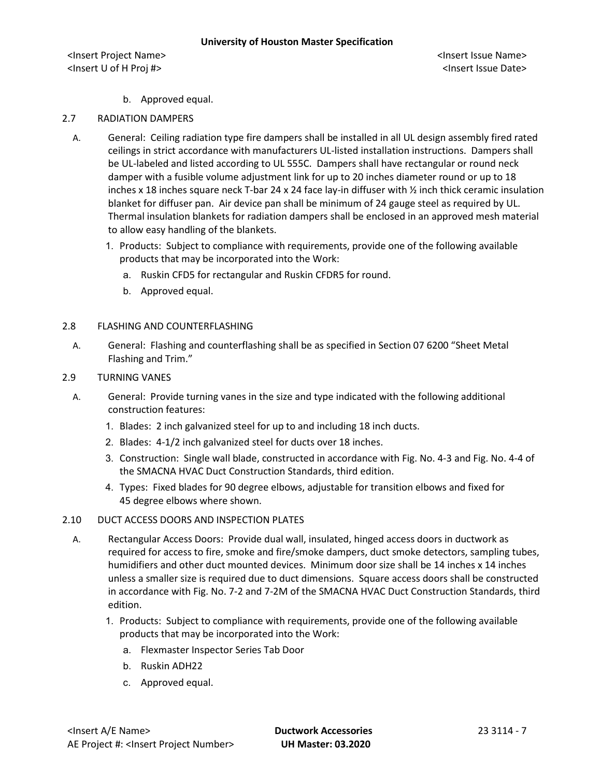b. Approved equal.

## 2.7 RADIATION DAMPERS

- A. General: Ceiling radiation type fire dampers shall be installed in all UL design assembly fired rated ceilings in strict accordance with manufacturers UL-listed installation instructions. Dampers shall be UL-labeled and listed according to UL 555C. Dampers shall have rectangular or round neck damper with a fusible volume adjustment link for up to 20 inches diameter round or up to 18 inches x 18 inches square neck T-bar 24 x 24 face lay-in diffuser with  $\frac{1}{2}$  inch thick ceramic insulation blanket for diffuser pan. Air device pan shall be minimum of 24 gauge steel as required by UL. Thermal insulation blankets for radiation dampers shall be enclosed in an approved mesh material to allow easy handling of the blankets.
	- 1. Products: Subject to compliance with requirements, provide one of the following available products that may be incorporated into the Work:
		- a. Ruskin CFD5 for rectangular and Ruskin CFDR5 for round.
		- b. Approved equal.

## 2.8 FLASHING AND COUNTERFLASHING

- A. General: Flashing and counterflashing shall be as specified in Section 07 6200 "Sheet Metal Flashing and Trim."
- 2.9 TURNING VANES
	- A. General: Provide turning vanes in the size and type indicated with the following additional construction features:
		- 1. Blades: 2 inch galvanized steel for up to and including 18 inch ducts.
		- 2. Blades: 4-1/2 inch galvanized steel for ducts over 18 inches.
		- 3. Construction: Single wall blade, constructed in accordance with Fig. No. 4-3 and Fig. No. 4-4 of the SMACNA HVAC Duct Construction Standards, third edition.
		- 4. Types: Fixed blades for 90 degree elbows, adjustable for transition elbows and fixed for 45 degree elbows where shown.
- 2.10 DUCT ACCESS DOORS AND INSPECTION PLATES
	- A. Rectangular Access Doors: Provide dual wall, insulated, hinged access doors in ductwork as required for access to fire, smoke and fire/smoke dampers, duct smoke detectors, sampling tubes, humidifiers and other duct mounted devices. Minimum door size shall be 14 inches x 14 inches unless a smaller size is required due to duct dimensions. Square access doors shall be constructed in accordance with Fig. No. 7-2 and 7-2M of the SMACNA HVAC Duct Construction Standards, third edition.
		- 1. Products: Subject to compliance with requirements, provide one of the following available products that may be incorporated into the Work:
			- a. Flexmaster Inspector Series Tab Door
			- b. Ruskin ADH22
			- c. Approved equal.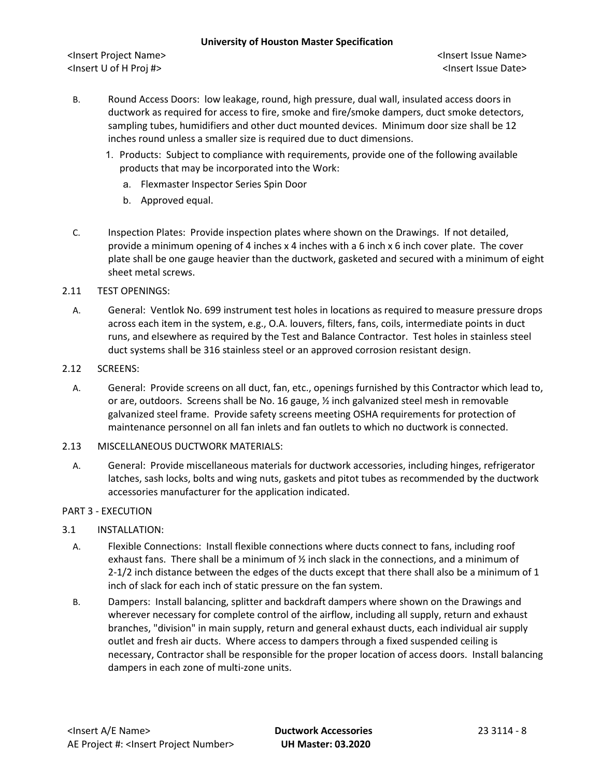<Insert Project Name> <Insert Issue Name> <Insert U of H Proj #> <Insert Issue Date>

- B. Round Access Doors: low leakage, round, high pressure, dual wall, insulated access doors in ductwork as required for access to fire, smoke and fire/smoke dampers, duct smoke detectors, sampling tubes, humidifiers and other duct mounted devices. Minimum door size shall be 12 inches round unless a smaller size is required due to duct dimensions.
	- 1. Products: Subject to compliance with requirements, provide one of the following available products that may be incorporated into the Work:
		- a. Flexmaster Inspector Series Spin Door
		- b. Approved equal.
- C. Inspection Plates: Provide inspection plates where shown on the Drawings. If not detailed, provide a minimum opening of 4 inches x 4 inches with a 6 inch x 6 inch cover plate. The cover plate shall be one gauge heavier than the ductwork, gasketed and secured with a minimum of eight sheet metal screws.
- 2.11 TEST OPENINGS:
	- A. General: Ventlok No. 699 instrument test holes in locations as required to measure pressure drops across each item in the system, e.g., O.A. louvers, filters, fans, coils, intermediate points in duct runs, and elsewhere as required by the Test and Balance Contractor. Test holes in stainless steel duct systems shall be 316 stainless steel or an approved corrosion resistant design.
- 2.12 SCREENS:
	- A. General: Provide screens on all duct, fan, etc., openings furnished by this Contractor which lead to, or are, outdoors. Screens shall be No. 16 gauge, ½ inch galvanized steel mesh in removable galvanized steel frame. Provide safety screens meeting OSHA requirements for protection of maintenance personnel on all fan inlets and fan outlets to which no ductwork is connected.
- 2.13 MISCELLANEOUS DUCTWORK MATERIALS:
	- A. General: Provide miscellaneous materials for ductwork accessories, including hinges, refrigerator latches, sash locks, bolts and wing nuts, gaskets and pitot tubes as recommended by the ductwork accessories manufacturer for the application indicated.

# PART 3 - EXECUTION

- 3.1 INSTALLATION:
	- A. Flexible Connections: Install flexible connections where ducts connect to fans, including roof exhaust fans. There shall be a minimum of  $\frac{1}{2}$  inch slack in the connections, and a minimum of 2-1/2 inch distance between the edges of the ducts except that there shall also be a minimum of 1 inch of slack for each inch of static pressure on the fan system.
	- B. Dampers: Install balancing, splitter and backdraft dampers where shown on the Drawings and wherever necessary for complete control of the airflow, including all supply, return and exhaust branches, "division" in main supply, return and general exhaust ducts, each individual air supply outlet and fresh air ducts. Where access to dampers through a fixed suspended ceiling is necessary, Contractor shall be responsible for the proper location of access doors. Install balancing dampers in each zone of multi-zone units.